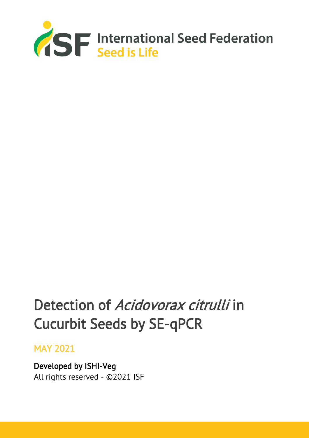

# Detection of Acidovorax citrulli in Cucurbit Seeds by SE-qPCR

# MAY 2021

Developed by ISHI-Veg All rights reserved - ©2021 ISF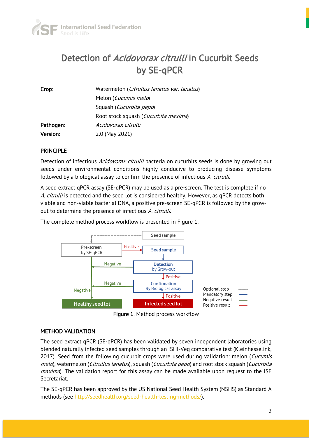

# Detection of Acidovorax citrulli in Cucurbit Seeds by SE-qPCR

| Crop:     | Watermelon (Citrullus lanatus var. lanatus) |
|-----------|---------------------------------------------|
|           | Melon ( <i>Cucumis melo</i> )               |
|           | Squash ( <i>Cucurbita pepo</i> )            |
|           | Root stock squash (Cucurbita maxima)        |
| Pathogen: | Acidovorax citrulli                         |
| Version:  | 2.0 (May 2021)                              |

#### PRINCIPLE

Detection of infectious Acidovorax citrulli bacteria on cucurbits seeds is done by growing out seeds under environmental conditions highly conducive to producing disease symptoms followed by a biological assay to confirm the presence of infectious A. citrulli.

A seed extract qPCR assay (SE-qPCR) may be used as a pre-screen. The test is complete if no A. citrulli is detected and the seed lot is considered healthy. However, as qPCR detects both viable and non-viable bacterial DNA, a positive pre-screen SE-qPCR is followed by the growout to determine the presence of infectious A. citrulli.

The complete method process workflow is presented in Figure 1.



Figure 1. Method process workflow

#### METHOD VALIDATION

The seed extract qPCR (SE-qPCR) has been validated by seven independent laboratories using blended naturally infected seed samples through an ISHI-Veg comparative test (Kleinhesselink, 2017). Seed from the following cucurbit crops were used during validation: melon (Cucumis melo), watermelon (Citrullus lanatus), squash (Cucurbita pepo) and root stock squash (Cucurbita *maxima*). The validation report for this assay can be made available upon request to the ISF Secretariat.

The SE-qPCR has been approved by the US National Seed Health System (NSHS) as Standard A methods (see http://seedhealth.org/seed-health-testing-methods/).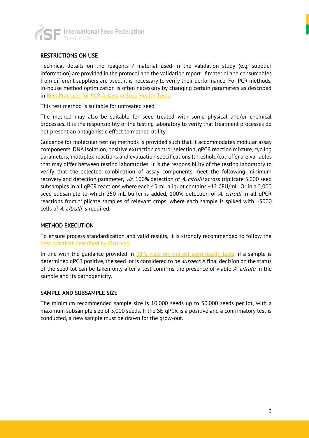

#### RESTRICTIONS ON USE

Technical details on the reagents / material used in the validation study (e.g. supplier information) are provided in the protocol and the validation report. If material and consumables from different suppliers are used, it is necessary to verify their performance. For PCR methods, in-house method optimization is often necessary by changing certain parameters as described in [Best Practices for PCR Assays in Seed Health Tests.](https://www.worldseed.org/wp-content/uploads/2019/12/Best-Practices_PCR_Dec_2019.pdf)

This test method is suitable for untreated seed.

The method may also be suitable for seed treated with some physical and/or chemical processes. It is the responsibility of the testing laboratory to verify that treatment processes do not present an antagonistic effect to method utility.

Guidance for molecular testing methods is provided such that it accommodates modular assay components. DNA isolation, positive extraction control selection, qPCR reaction mixture, cycling parameters, multiplex reactions and evaluation specifications (threshold/cut-offs) are variables that may differ between testing laboratories. It is the responsibility of the testing laboratory to verify that the selected combination of assay components meet the following minimum recovery and detection parameter, viz. 100% detection of A. citrulli across triplicate 5,000 seed subsamples in all qPCR reactions where each 45 mL aliquot contains ~12 CFU/mL. Or in a 5,000 seed subsample to which 250 mL buffer is added, 100% detection of A. citrulli in all qPCR reactions from triplicate samples of relevant crops, where each sample is spiked with ~3000 cells of A. citrulli is required.

#### METHOD EXECUTION

To ensure process standardization and valid results, it is strongly recommended to follow the [best practices described by ISHI-Veg.](https://www.worldseed.org/our-work/phytosanitary-matters/seed-health/ishi-veg-method-development/)

In line with the quidance provided in [ISF's view on indirect seed health tests](http://www.worldseed.org/wp-content/uploads/2015/10/Indirect_Seed_Health_Tests_2013.pdf), if a sample is determined qPCR positive, the seed lot is considered to be *suspect*. A final decision on the status of the seed lot can be taken only after a test confirms the presence of viable A. citrulli in the sample and its pathogenicity.

#### SAMPLE AND SUBSAMPLE SIZE

The minimum recommended sample size is 10,000 seeds up to 30,000 seeds per lot, with a maximum subsample size of 5,000 seeds. If the SE-qPCR is a positive and a confirmatory test is conducted, a new sample must be drawn for the grow-out.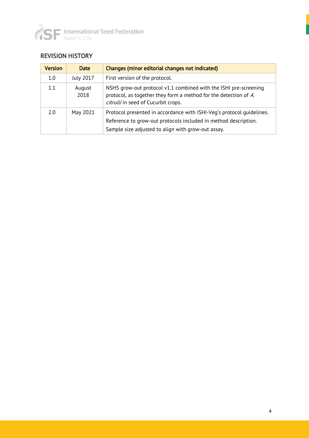

### REVISION HISTORY

| <b>Version</b> | <b>Date</b>      | Changes (minor editorial changes not indicated)                                                                                                                                                |
|----------------|------------------|------------------------------------------------------------------------------------------------------------------------------------------------------------------------------------------------|
| 1.0            | <b>July 2017</b> | First version of the protocol.                                                                                                                                                                 |
| 1.1            | August<br>2018   | NSHS grow-out protocol v1.1 combined with the ISHI pre-screening<br>protocol, as together they form a method for the detection of A.<br>citrulli in seed of Cucurbit crops.                    |
| 2.0            | May 2021         | Protocol presented in accordance with ISHI-Veg's protocol quidelines.<br>Reference to grow-out protocols included in method description.<br>Sample size adjusted to align with grow-out assay. |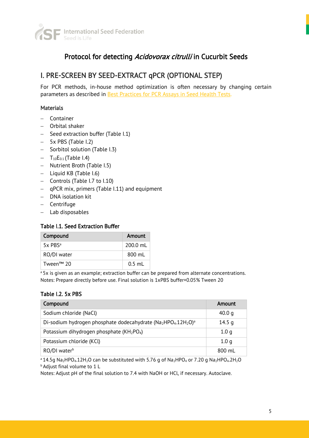

# Protocol for detecting Acidovorax citrulli in Cucurbit Seeds

# I. PRE-SCREEN BY SEED-EXTRACT qPCR (OPTIONAL STEP)

For PCR methods, in-house method optimization is often necessary by changing certain parameters as described in [Best Practices for PCR Assays in Seed Health Tests.](https://www.worldseed.org/wp-content/uploads/2019/12/Best-Practices_PCR_Dec_2019.pdf)

#### **Materials**

- − Container
- − Orbital shaker
- − Seed extraction buffer (Table I.1)
- − 5x PBS (Table I.2)
- − Sorbitol solution (Table I.3)
- $T_{10}E_{0.1}$  (Table I.4)
- − Nutrient Broth (Table I.5)
- − Liquid KB (Table I.6)
- − Controls (Table I.7 to I.10)
- − qPCR mix, primers (Table I.11) and equipment
- − DNA isolation kit
- − Centrifuge
- − Lab disposables

#### Table I.1. Seed Extraction Buffer

| Compound            | Amount     |
|---------------------|------------|
| 5x PRS <sup>a</sup> | $200.0$ mL |
| RO/DI water         | 800 ml     |
| Tween™ 20           | $0.5$ mL   |

<sup>a</sup> 5x is given as an example; extraction buffer can be prepared from alternate concentrations. Notes: Prepare directly before use. Final solution is 1xPBS buffer+0.05% Tween 20

#### Table I.2. 5x PBS

| Compound                                                                                 | Amount           |
|------------------------------------------------------------------------------------------|------------------|
| Sodium chloride (NaCl)                                                                   | 40.0 $q$         |
| Di-sodium hydrogen phosphate dodecahydrate ( $Na2HPO4$ .12H <sub>2</sub> O) <sup>a</sup> | 14.5 $q$         |
| Potassium dihydrogen phosphate (KH <sub>2</sub> PO <sub>4</sub> )                        | 1.0 <sub>q</sub> |
| Potassium chloride (KCl)                                                                 | 1.0 <sub>q</sub> |
| RO/DI water <sup>b</sup>                                                                 | 800 mL           |

<sup>a</sup> 14.5g Na<sub>2</sub>HPO<sub>4</sub>.12H<sub>2</sub>O can be substituted with 5.76 g of Na<sub>2</sub>HPO<sub>4</sub> or 7.20 g Na<sub>2</sub>HPO<sub>4</sub>.2H<sub>2</sub>O  $<sup>b</sup>$  Adjust final volume to 1 L</sup>

Notes: Adjust pH of the final solution to 7.4 with NaOH or HCl, if necessary. Autoclave.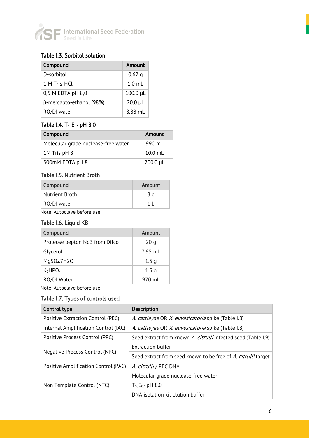

#### Table I.3. Sorbitol solution

| Compound                        | Amount           |
|---------------------------------|------------------|
| D-sorbitol                      | $0.62$ q         |
| 1 M Tris-HCL                    | $1.0 \text{ ml}$ |
| $0,5$ M EDTA pH $8,0$           | $100.0 \mu L$    |
| $\beta$ -mercapto-ethanol (98%) | $20.0 \mu L$     |
| RO/DI water                     | 8.88 mL          |

#### Table I.4. T<sub>10</sub>E<sub>0.1</sub> pH 8.0

| Compound                            | Amount        |
|-------------------------------------|---------------|
| Molecular grade nuclease-free water | 990 ml        |
| 1M Tris pH 8                        | $10.0$ ml     |
| 500mM EDTA pH 8                     | $200.0 \mu L$ |

#### Table I.5. Nutrient Broth

| Compound       | Amount |
|----------------|--------|
| Nutrient Broth | 8 a    |
| RO/DI water    |        |

Note: Autoclave before use

#### Table I.6. Liquid KB

| Compound                        | Amount           |
|---------------------------------|------------------|
| Proteose pepton No3 from Difco  | 20q              |
| Glycerol                        | $7.95$ mL        |
| MgSO <sub>4</sub> .7H2O         | 1.5 <sub>q</sub> |
| K <sub>2</sub> HPO <sub>4</sub> | 1.5 <sub>q</sub> |
| RO/DI Water                     | 970 ml           |

Note: Autoclave before use

#### Table I.7. Types of controls used

| Control type                         | <b>Description</b>                                            |
|--------------------------------------|---------------------------------------------------------------|
| Positive Extraction Control (PEC)    | A. cattleyae OR X. euvesicatoria spike (Table I.8)            |
| Internal Amplification Control (IAC) | A. cattleyae OR X. euvesicatoria spike (Table 1.8)            |
| Positive Process Control (PPC)       | Seed extract from known A. citrulli infected seed (Table I.9) |
|                                      | <b>Extraction buffer</b>                                      |
| Negative Process Control (NPC)       | Seed extract from seed known to be free of A. citrullitarget  |
| Positive Amplification Control (PAC) | A. citrulli / PEC DNA                                         |
|                                      | Molecular grade nuclease-free water                           |
| Non Template Control (NTC)           | $T_{10}E_{0.1}$ pH 8.0                                        |
|                                      | DNA isolation kit elution buffer                              |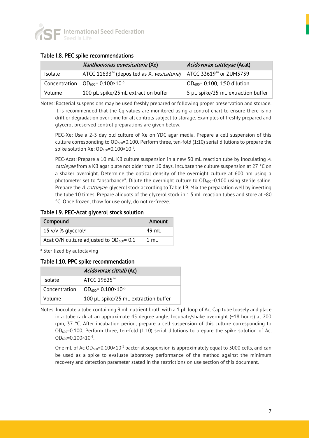

#### Table I.8. PEC spike recommendations

|         | <i>Xanthomonas euvesicatoria</i> (Xe)                                                                | Acidovorax cattleyae (Acat)        |
|---------|------------------------------------------------------------------------------------------------------|------------------------------------|
| Isolate | ATCC 11633 <sup>TM</sup> (deposited as X. <i>vesicatoria</i> )   ATCC 33619 <sup>TM</sup> or ZUM3739 |                                    |
|         | Concentration   $OD_{600} = 0.100 \times 10^{-3}$                                                    | $OD_{600} = 0.100, 1:50$ dilution  |
| Volume  | 100 µL spike/25mL extraction buffer                                                                  | 5 µL spike/25 mL extraction buffer |

Notes: Bacterial suspensions may be used freshly prepared or following proper preservation and storage. It is recommended that the Cq values are monitored using a control chart to ensure there is no drift or degradation over time for all controls subject to storage. Examples of freshly prepared and glycerol preserved control preparations are given below.

PEC-Xe: Use a 2-3 day old culture of Xe on YDC agar media. Prepare a cell suspension of this culture corresponding to OD<sub>600</sub>=0.100. Perform three, ten-fold (1:10) serial dilutions to prepare the spike solution Xe:  $OD_{600}$ = $0.100 \times 10^{-3}$ .

PEC-Acat: Prepare a 10 mL KB culture suspension in a new 50 mL reaction tube by inoculating A. cattleyae from a KB agar plate not older than 10 days. Incubate the culture suspension at 27 °C on a shaker overnight. Determine the optical density of the overnight culture at 600 nm using a photometer set to "absorbance". Dilute the overnight culture to  $OD<sub>600</sub>=0.100$  using sterile saline. Prepare the A. cattleyae glycerol stock according to Table I.9. Mix the preparation well by inverting the tube 10 times. Prepare aliquots of the glycerol stock in 1.5 mL reaction tubes and store at -80 °C. Once frozen, thaw for use only, do not re-freeze.

Table I.9. PEC-Acat glycerol stock solution

| Compound                                      | Amount |
|-----------------------------------------------|--------|
| 15 v/v % glycerol <sup>a</sup>                | 49 mL  |
| Acat O/N culture adjusted to $OD_{600} = 0.1$ | 1 ml   |

a Sterilized by autoclaving

#### Table I.10. PPC spike recommendation

|                | Acidovorax citrulli (Ac)             |
|----------------|--------------------------------------|
| <b>Isolate</b> | ATCC 29625™                          |
| Concentration  | $OD_{600} = 0.100 \times 10^{-3}$    |
| Volume         | 100 µL spike/25 mL extraction buffer |

Notes: Inoculate a tube containing 9 mL nutrient broth with a 1  $\mu$ L loop of Ac. Cap tube loosely and place in a tube rack at an approximate 45 degree angle. Incubate/shake overnight (~18 hours) at 200 rpm, 37 °C. After incubation period, prepare a cell suspension of this culture corresponding to  $OD<sub>600</sub>=0.100$ . Perform three, ten-fold (1:10) serial dilutions to prepare the spike solution of Ac:  $OD_{600} = 0.100 \times 10^{-3}$ .

One mL of Ac  $OD_{600} = 0.100 \times 10^{-3}$  bacterial suspension is approximately equal to 3000 cells, and can be used as a spike to evaluate laboratory performance of the method against the minimum recovery and detection parameter stated in the restrictions on use section of this document.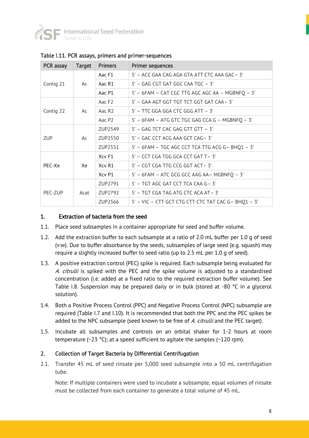

| PCR assay  | <b>Target</b> | <b>Primers</b>     | <b>Primer sequences</b>                             |
|------------|---------------|--------------------|-----------------------------------------------------|
| Contig 21  | Ac            | Aac F1             | 5' - ACC GAA CAG AGA GTA ATT CTC AAA GAC-3'         |
|            |               | Aac R1             | 5' - GAG CGT GAT GGC CAA TGC - 3'                   |
|            |               | Aac P1             | 5' - 6FAM - CAT CGC TTG AGC AGC AA - MGBNFQ - 3'    |
| Contig 22  | Ac            | Aac F <sub>2</sub> | 5' - GAA AGT GGT TGT TCT GGT GAT CAA-3'             |
|            |               | Aac R <sub>2</sub> | $5'$ – TTC GGA GGA CTC GGG ATT – 3'                 |
|            |               | Aac P2             | 5' - 6FAM - ATG GTC TGC GAG CCA G - MGBNFQ - 3'     |
| <b>ZUP</b> | Ac            | ZUP2549            | 5' - GAG TCT CAC GAG GTT GTT - 3'                   |
|            |               | ZUP2550            | $5'$ – GAC CCT ACG AAA GCT CAG – 3'                 |
|            |               | ZUP2551            | 5' - 6FAM - TGC AGC CCT TCA TTG ACG G- BHQ1 - 3'    |
| PEC-Xe     | Xe            | Xcv F1             | 5' - CCT CGA TGG GCA CCT GAT T-3'                   |
|            |               | Xcv R1             | 5' - CGT CGA TTG CCG GGT ACT-3'                     |
|            |               | Xcv P1             | 5' - 6FAM - ATC GCG GCC AAG AA- MGBNFQ - 3'         |
| PEC-ZUP    | Acat          | ZUP2791            | 5' - TGT AGC GAT CCT TCA CAA G-3'                   |
|            |               | ZUP2792            | 5' – TGT CGA TAG ATG CTC ACA AT – 3'                |
|            |               | ZUP2566            | 5' - VIC - CTT GCT CTG CTT CTC TAT CAC G- BHQ1 - 3' |

Table I.11. PCR assays, primers and primer-sequences

#### 1. Extraction of bacteria from the seed

- 1.1. Place seed subsamples in a container appropriate for seed and buffer volume.
- 1.2. Add the extraction buffer to each subsample at a ratio of 2.0 mL buffer per 1.0 g of seed (v:w). Due to buffer absorbance by the seeds, subsamples of large seed (e.g. squash) may require a slightly increased buffer to seed ratio (up to 2.5 mL per 1.0 g of seed).
- 1.3. A positive extraction control (PEC) spike is required. Each subsample being evaluated for A. citrulli is spiked with the PEC and the spike volume is adjusted to a standardised concentration (i.e. added at a fixed ratio to the required extraction buffer volume). See Table I.8. Suspension may be prepared daily or in bulk (stored at -80  $^{\circ}$ C in a glycerol solution).
- 1.4. Both a Positive Process Control (PPC) and Negative Process Control (NPC) subsample are required (Table I.7 and I.10). It is recommended that both the PPC and the PEC spikes be added to the NPC subsample (seed known to be free of A. citrulli and the PEC target).
- 1.5. Incubate all subsamples and controls on an orbital shaker for 1-2 hours at room temperature ( $\sim$ 23 °C); at a speed sufficient to agitate the samples ( $\sim$ 120 rpm).

#### 2. Collection of Target Bacteria by Differential Centrifugation

2.1. Transfer 45 mL of seed rinsate per 5,000 seed subsample into a 50 mL centrifugation tube.

Note: If multiple containers were used to incubate a subsample, equal volumes of rinsate must be collected from each container to generate a total volume of 45 mL.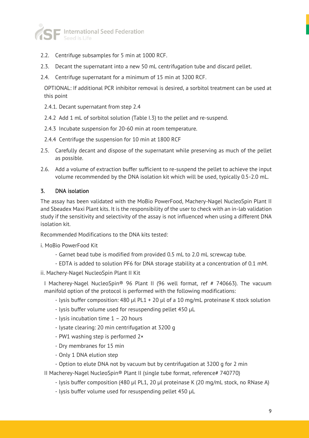

- 2.2. Centrifuge subsamples for 5 min at 1000 RCF.
- 2.3. Decant the supernatant into a new 50 mL centrifugation tube and discard pellet.
- 2.4. Centrifuge supernatant for a minimum of 15 min at 3200 RCF.

OPTIONAL: If additional PCR inhibitor removal is desired, a sorbitol treatment can be used at this point

- 2.4.1. Decant supernatant from step 2.4
- 2.4.2 Add 1 mL of sorbitol solution (Table I.3) to the pellet and re-suspend.
- 2.4.3 Incubate suspension for 20-60 min at room temperature.
- 2.4.4 Centrifuge the suspension for 10 min at 1800 RCF
- 2.5. Carefully decant and dispose of the supernatant while preserving as much of the pellet as possible.
- 2.6. Add a volume of extraction buffer sufficient to re-suspend the pellet to achieve the input volume recommended by the DNA isolation kit which will be used, typically 0.5-2.0 mL.

#### 3. DNA isolation

The assay has been validated with the MoBio PowerFood, Machery-Nagel NucleoSpin Plant II and Sbeadex Maxi Plant kits. It is the responsibility of the user to check with an in-lab validation study if the sensitivity and selectivity of the assay is not influenced when using a different DNA isolation kit.

Recommended Modifications to the DNA kits tested:

i. MoBio PowerFood Kit

- Garnet bead tube is modified from provided 0.5 mL to 2.0 mL screwcap tube.
- EDTA is added to solution PF6 for DNA storage stability at a concentration of 0.1 mM.
- ii. Machery-Nagel NucleoSpin Plant II Kit

I Macherey-Nagel NucleoSpin® 96 Plant II (96 well format, ref # 740663). The vacuum manifold option of the protocol is performed with the following modifications:

- lysis buffer composition: 480 µl PL1 + 20 µl of a 10 mg/mL proteinase K stock solution
- lysis buffer volume used for resuspending pellet 450 µL
- lysis incubation time 1 20 hours
- lysate clearing: 20 min centrifugation at 3200 g
- PW1 washing step is performed 2×
- Dry membranes for 15 min
- Only 1 DNA elution step
- Option to elute DNA not by vacuum but by centrifugation at 3200 g for 2 min

II Macherey-Nagel NucleoSpin® Plant II (single tube format, reference# 740770)

- lysis buffer composition (480 µl PL1, 20 µl proteinase K (20 mg/mL stock, no RNase A)
- lysis buffer volume used for resuspending pellet 450 µL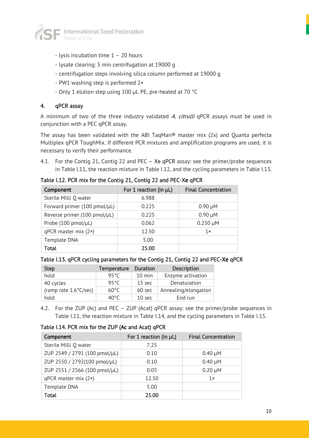

- lysis incubation time 1 20 hours
- lysate clearing: 5 min centrifugation at 19000 g
- centrifugation steps involving silica column performed at 19000 g
- PW1 washing step is performed 2×
- Only 1 elution step using 100 µL PE, pre-heated at 70 °C

#### 4. qPCR assay

A minimum of two of the three industry validated A. citrulli qPCR assays must be used in conjunction with a PEC qPCR assay.

The assay has been validated with the ABI TaqMan® master mix (2x) and Quanta perfecta Multiplex qPCR ToughMix. If different PCR mixtures and amplification programs are used, it is necessary to verify their performance.

4.1. For the Contig 21, Contig 22 and PEC – Xe qPCR assay: see the primer/probe sequences in Table I.11, the reaction mixture in Table I.12, and the cycling parameters in Table I.13.

Table I.12. PCR mix for the Contig 21, Contig 22 and PEC-Xe qPCR

| Component                    | For 1 reaction (in µL) | <b>Final Concentration</b> |
|------------------------------|------------------------|----------------------------|
| Sterile Milli Q water        | 6.988                  |                            |
| Forward primer (100 pmol/µL) | 0.225                  | $0.90 \mu M$               |
| Reverse primer (100 pmol/µL) | 0.225                  | $0.90 \mu M$               |
| Probe (100 pmol/µL)          | 0.062                  | $0.250 \mu M$              |
| $qPCR$ master mix $(2*)$     | 12.50                  | $1 \times$                 |
| Template DNA                 | 5.00                   |                            |
| <b>Total</b>                 | 25.00                  |                            |

|  |  |  | Table I.13. qPCR cycling parameters for the Contig 21, Contig 22 and PEC-Xe qPCR |  |  |  |  |  |  |
|--|--|--|----------------------------------------------------------------------------------|--|--|--|--|--|--|
|--|--|--|----------------------------------------------------------------------------------|--|--|--|--|--|--|

| <b>Step</b>           | <b>Temperature</b> | <b>Duration</b>   | <b>Description</b>   |
|-----------------------|--------------------|-------------------|----------------------|
| hold                  | 95°C               | $10 \text{ min}$  | Enzyme activation    |
| 40 cycles             | 95°C               | $15 \text{ sec}$  | Denaturation         |
| (ramp rate 1.6°C/sec) | $60^{\circ}$ C     | 60 sec            | Annealing/elongation |
| hold                  | 40°C               | 10 <sub>sec</sub> | End run              |

4.2. For the ZUP (Ac) and PEC – ZUP (Acat) qPCR assay: see the primer/probe sequences in Table I.11, the reaction mixture in Table I.14, and the cycling parameters in Table I.15.

Table I.14. PCR mix for the ZUP (Ac and Acat) qPCR

| Component                     | For 1 reaction (in µL) | <b>Final Concentration</b> |
|-------------------------------|------------------------|----------------------------|
| Sterile Milli Q water         | 7.25                   |                            |
| ZUP 2549 / 2791 (100 pmol/µL) | 0.10                   | $0.40 \mu M$               |
| ZUP 2550 / 2792(100 pmol/µL)  | 0.10                   | $0.40 \mu M$               |
| ZUP 2551 / 2566 (100 pmol/µL) | 0.05                   | $0.20 \mu M$               |
| $qPCR$ master mix $(2*)$      | 12.50                  | $1 \times$                 |
| Template DNA                  | 5.00                   |                            |
| Total                         | 25.00                  |                            |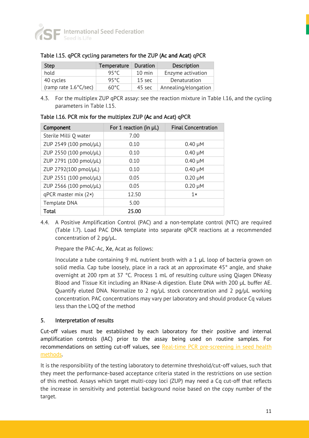

| <b>Step</b>                     | Temperature   Duration |                  | <b>Description</b>   |
|---------------------------------|------------------------|------------------|----------------------|
| hold                            | ዓ5°C                   | $10 \text{ min}$ | Enzyme activation    |
| 40 cycles                       | 95°C                   | $15 \text{ sec}$ | Denaturation         |
| (ramp rate $1.6^{\circ}$ C/sec) | $60^{\circ}$ C         | 45 sec           | Annealing/elongation |

#### Table I.15. qPCR cycling parameters for the ZUP (Ac and Acat) qPCR

4.3. For the multiplex ZUP qPCR assay: see the reaction mixture in Table I.16, and the cycling parameters in Table I.15.

| Component                | For 1 reaction (in µL) | <b>Final Concentration</b> |
|--------------------------|------------------------|----------------------------|
| Sterile Milli Q water    | 7.00                   |                            |
| ZUP 2549 (100 pmol/µL)   | 0.10                   | $0.40 \mu M$               |
| ZUP 2550 (100 pmol/µL)   | 0.10                   | $0.40 \mu M$               |
| ZUP 2791 (100 pmol/µL)   | 0.10                   | $0.40 \mu M$               |
| ZUP 2792(100 pmol/µL)    | 0.10                   | $0.40 \mu M$               |
| ZUP 2551 (100 pmol/µL)   | 0.05                   | $0.20 \mu M$               |
| ZUP 2566 (100 pmol/µL)   | 0.05                   | $0.20 \mu M$               |
| $qPCR$ master mix $(2*)$ | 12.50                  | 1x                         |
| Template DNA             | 5.00                   |                            |
| Total                    | 25.00                  |                            |

Table I.16. PCR mix for the multiplex ZUP (Ac and Acat) qPCR

4.4. A Positive Amplification Control (PAC) and a non-template control (NTC) are required (Table I.7). Load PAC DNA template into separate qPCR reactions at a recommended concentration of 2 pg/µL.

Prepare the PAC-Ac, Xe, Acat as follows:

Inoculate a tube containing 9 mL nutrient broth with a 1  $\mu$ L loop of bacteria grown on solid media. Cap tube loosely, place in a rack at an approximate 45° angle, and shake overnight at 200 rpm at 37 °C. Process 1 mL of resulting culture using Qiagen DNeasy Blood and Tissue Kit including an RNase-A digestion. Elute DNA with 200 µL buffer AE. Quantify eluted DNA. Normalize to 2 ng/µL stock concentration and 2 pg/µL working concentration. PAC concentrations may vary per laboratory and should produce Cq values less than the LOQ of the method

#### 5. Interpretation of results

Cut-off values must be established by each laboratory for their positive and internal amplification controls (IAC) prior to the assay being used on routine samples. For recommendations on setting cut-off values, see Real-time PCR pre-screening in seed health [methods.](https://www.worldseed.org/wp-content/uploads/2018/03/Real-time_PCR_pre-screens_2018.pdf)

It is the responsibility of the testing laboratory to determine threshold/cut-off values, such that they meet the performance-based acceptance criteria stated in the restrictions on use section of this method. Assays which target multi-copy loci (ZUP) may need a Cq cut-off that reflects the increase in sensitivity and potential background noise based on the copy number of the target.